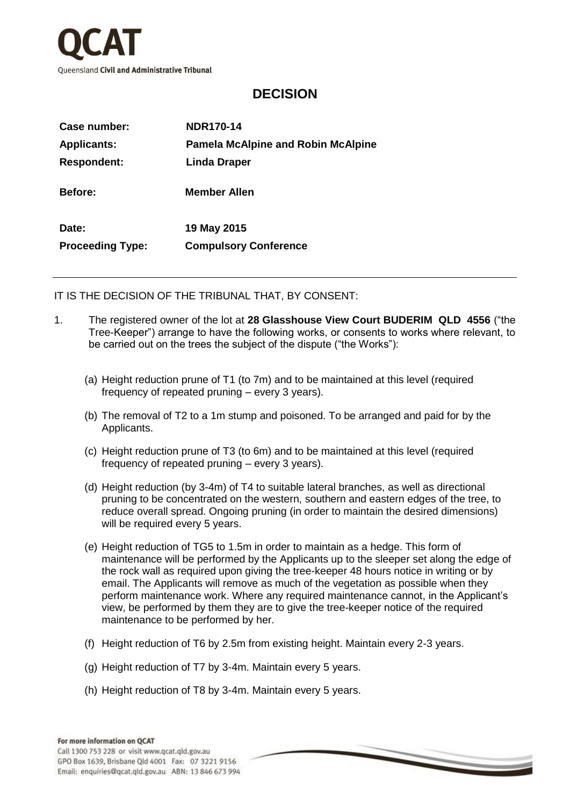

## **DECISION**

| Case number:            | <b>NDR170-14</b>                          |
|-------------------------|-------------------------------------------|
| <b>Applicants:</b>      | <b>Pamela McAlpine and Robin McAlpine</b> |
| <b>Respondent:</b>      | <b>Linda Draper</b>                       |
| <b>Before:</b>          | <b>Member Allen</b>                       |
| Date:                   | 19 May 2015                               |
| <b>Proceeding Type:</b> | <b>Compulsory Conference</b>              |
|                         |                                           |

IT IS THE DECISION OF THE TRIBUNAL THAT, BY CONSENT:

- 1. The registered owner of the lot at **28 Glasshouse View Court BUDERIM QLD 4556** ("the Tree-Keeper") arrange to have the following works, or consents to works where relevant, to be carried out on the trees the subject of the dispute ("the Works"):
	- (a) Height reduction prune of T1 (to 7m) and to be maintained at this level (required frequency of repeated pruning – every 3 years).
	- (b) The removal of T2 to a 1m stump and poisoned. To be arranged and paid for by the Applicants.
	- (c) Height reduction prune of T3 (to 6m) and to be maintained at this level (required frequency of repeated pruning – every 3 years).
	- (d) Height reduction (by 3-4m) of T4 to suitable lateral branches, as well as directional pruning to be concentrated on the western, southern and eastern edges of the tree, to reduce overall spread. Ongoing pruning (in order to maintain the desired dimensions) will be required every 5 years.
	- (e) Height reduction of TG5 to 1.5m in order to maintain as a hedge. This form of maintenance will be performed by the Applicants up to the sleeper set along the edge of the rock wall as required upon giving the tree-keeper 48 hours notice in writing or by email. The Applicants will remove as much of the vegetation as possible when they perform maintenance work. Where any required maintenance cannot, in the Applicant's view, be performed by them they are to give the tree-keeper notice of the required maintenance to be performed by her.
	- (f) Height reduction of T6 by 2.5m from existing height. Maintain every 2-3 years.
	- (g) Height reduction of T7 by 3-4m. Maintain every 5 years.
	- (h) Height reduction of T8 by 3-4m. Maintain every 5 years.